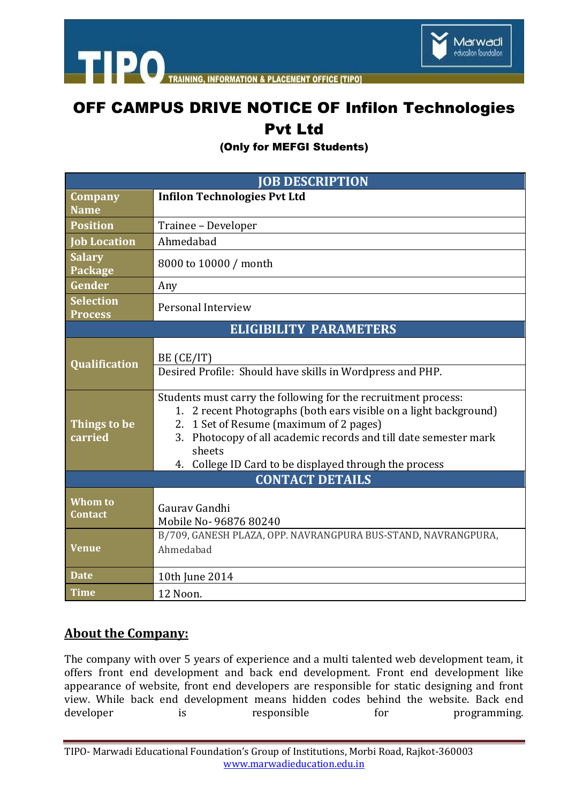



**INFORMATION & PLACEMENT OFFICE ITIPOI** 

## OFF CAMPUS DRIVE NOTICE OF Infilon Technologies Pvt Ltd

(Only for MEFGI Students)

| <b>JOB DESCRIPTION</b>             |                                                                                                                                                                                                                                                                                                                           |
|------------------------------------|---------------------------------------------------------------------------------------------------------------------------------------------------------------------------------------------------------------------------------------------------------------------------------------------------------------------------|
| Company<br><b>Name</b>             | <b>Infilon Technologies Pvt Ltd</b>                                                                                                                                                                                                                                                                                       |
| <b>Position</b>                    | Trainee - Developer                                                                                                                                                                                                                                                                                                       |
| <b>Job Location</b>                | Ahmedabad                                                                                                                                                                                                                                                                                                                 |
| <b>Salary</b><br>Package           | 8000 to 10000 / month                                                                                                                                                                                                                                                                                                     |
| Gender                             | Any                                                                                                                                                                                                                                                                                                                       |
| <b>Selection</b><br><b>Process</b> | Personal Interview                                                                                                                                                                                                                                                                                                        |
| <b>ELIGIBILITY PARAMETERS</b>      |                                                                                                                                                                                                                                                                                                                           |
| Qualification                      | BE (CE/IT)<br>Desired Profile: Should have skills in Wordpress and PHP.                                                                                                                                                                                                                                                   |
| Things to be<br>carried            | Students must carry the following for the recruitment process:<br>1. 2 recent Photographs (both ears visible on a light background)<br>2. 1 Set of Resume (maximum of 2 pages)<br>3. Photocopy of all academic records and till date semester mark<br>sheets<br>College ID Card to be displayed through the process<br>4. |
| <b>CONTACT DETAILS</b>             |                                                                                                                                                                                                                                                                                                                           |
| <b>Whom to</b><br><b>Contact</b>   | Gauray Gandhi<br>Mobile No- 96876 80240                                                                                                                                                                                                                                                                                   |
| <b>Venue</b>                       | B/709, GANESH PLAZA, OPP. NAVRANGPURA BUS-STAND, NAVRANGPURA,<br>Ahmedabad                                                                                                                                                                                                                                                |
| <b>Date</b>                        | 10th June 2014                                                                                                                                                                                                                                                                                                            |
| <b>Time</b>                        | 12 Noon.                                                                                                                                                                                                                                                                                                                  |

## **About the Company:**

The company with over 5 years of experience and a multi talented web development team, it offers front end development and back end development. Front end development like appearance of website, front end developers are responsible for static designing and front view. While back end development means hidden codes behind the website. Back end developer is responsible for programming.